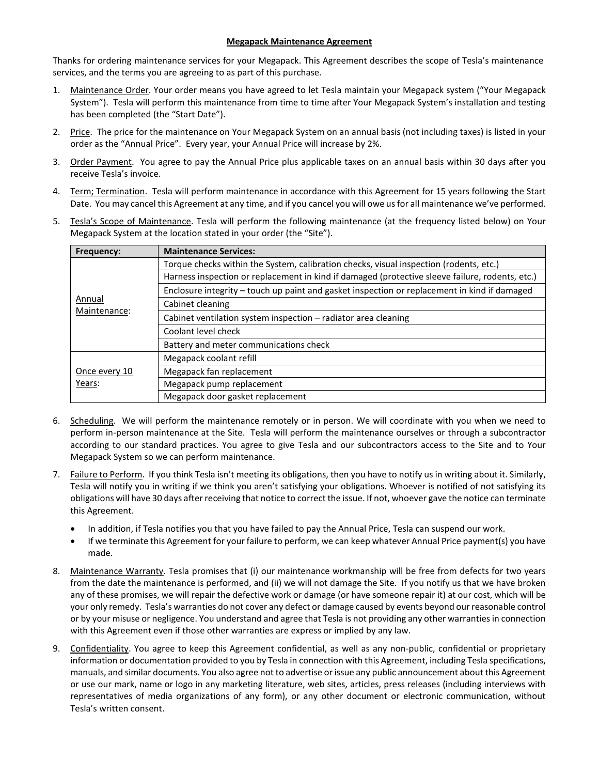## **Megapack Maintenance Agreement**

Thanks for ordering maintenance services for your Megapack. This Agreement describes the scope of Tesla's maintenance services, and the terms you are agreeing to as part of this purchase.

- 1. Maintenance Order. Your order means you have agreed to let Tesla maintain your Megapack system ("Your Megapack System"). Tesla will perform this maintenance from time to time after Your Megapack System's installation and testing has been completed (the "Start Date").
- 2. Price. The price for the maintenance on Your Megapack System on an annual basis (not including taxes) is listed in your order as the "Annual Price". Every year, your Annual Price will increase by 2%.
- 3. Order Payment. You agree to pay the Annual Price plus applicable taxes on an annual basis within 30 days after you receive Tesla's invoice.
- 4. Term; Termination. Tesla will perform maintenance in accordance with this Agreement for 15 years following the Start Date. You may cancel this Agreement at any time, and if you cancel you will owe us for all maintenance we've performed.
- 5. Tesla's Scope of Maintenance. Tesla will perform the following maintenance (at the frequency listed below) on Your Megapack System at the location stated in your order (the "Site").

| Frequency:              | <b>Maintenance Services:</b>                                                                    |
|-------------------------|-------------------------------------------------------------------------------------------------|
| Annual<br>Maintenance:  | Torque checks within the System, calibration checks, visual inspection (rodents, etc.)          |
|                         | Harness inspection or replacement in kind if damaged (protective sleeve failure, rodents, etc.) |
|                         | Enclosure integrity - touch up paint and gasket inspection or replacement in kind if damaged    |
|                         | Cabinet cleaning                                                                                |
|                         | Cabinet ventilation system inspection - radiator area cleaning                                  |
|                         | Coolant level check                                                                             |
|                         | Battery and meter communications check                                                          |
| Once every 10<br>Years: | Megapack coolant refill                                                                         |
|                         | Megapack fan replacement                                                                        |
|                         | Megapack pump replacement                                                                       |
|                         | Megapack door gasket replacement                                                                |

- 6. Scheduling. We will perform the maintenance remotely or in person. We will coordinate with you when we need to perform in-person maintenance at the Site. Tesla will perform the maintenance ourselves or through a subcontractor according to our standard practices. You agree to give Tesla and our subcontractors access to the Site and to Your Megapack System so we can perform maintenance.
- 7. Failure to Perform. If you think Tesla isn't meeting its obligations, then you have to notify us in writing about it. Similarly, Tesla will notify you in writing if we think you aren't satisfying your obligations. Whoever is notified of not satisfying its obligations will have 30 days after receiving that notice to correct the issue. If not, whoever gave the notice can terminate this Agreement.
	- In addition, if Tesla notifies you that you have failed to pay the Annual Price, Tesla can suspend our work.
	- If we terminate this Agreement for your failure to perform, we can keep whatever Annual Price payment(s) you have made.
- 8. Maintenance Warranty. Tesla promises that (i) our maintenance workmanship will be free from defects for two years from the date the maintenance is performed, and (ii) we will not damage the Site. If you notify us that we have broken any of these promises, we will repair the defective work or damage (or have someone repair it) at our cost, which will be your only remedy. Tesla's warranties do not cover any defect or damage caused by events beyond our reasonable control or by your misuse or negligence. You understand and agree that Tesla is not providing any other warranties in connection with this Agreement even if those other warranties are express or implied by any law.
- 9. Confidentiality. You agree to keep this Agreement confidential, as well as any non-public, confidential or proprietary information or documentation provided to you by Tesla in connection with this Agreement, including Tesla specifications, manuals, and similar documents. You also agree not to advertise or issue any public announcement about this Agreement or use our mark, name or logo in any marketing literature, web sites, articles, press releases (including interviews with representatives of media organizations of any form), or any other document or electronic communication, without Tesla's written consent.